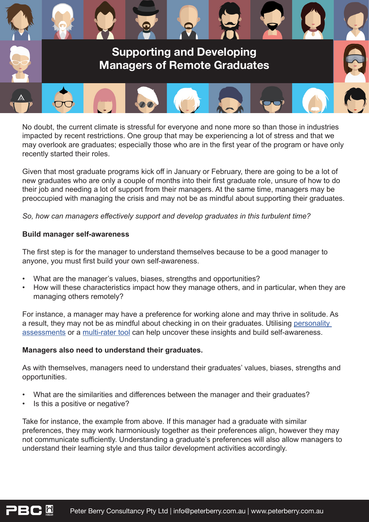

No doubt, the current climate is stressful for everyone and none more so than those in industries impacted by recent restrictions. One group that may be experiencing a lot of stress and that we may overlook are graduates; especially those who are in the first year of the program or have only recently started their roles.

Given that most graduate programs kick off in January or February, there are going to be a lot of new graduates who are only a couple of months into their first graduate role, unsure of how to do their job and needing a lot of support from their managers. At the same time, managers may be preoccupied with managing the crisis and may not be as mindful about supporting their graduates.

*So, how can managers effectively support and develop graduates in this turbulent time?* 

# **Build manager self-awareness**

The first step is for the manager to understand themselves because to be a good manager to anyone, you must first build your own self-awareness.

- What are the manager's values, biases, strengths and opportunities?
- How will these characteristics impact how they manage others, and in particular, when they are managing others remotely?

For instance, a manager may have a preference for working alone and may thrive in solitude. As a result, they may not be as mindful about checking in on their graduates. Utilising [personality](https://www.peterberry.com.au/landing/hogan-personality-assessments/?utm_source=aage&utm_medium=pdf&utm_campaign=aage-email)  [assessments](https://www.peterberry.com.au/landing/hogan-personality-assessments/?utm_source=aage&utm_medium=pdf&utm_campaign=aage-email) or a [multi-rater tool](https://www.peterberry.com.au/products/hogan-360/?utm_source=aage&utm_medium=pdf&utm_campaign=aage-email) can help uncover these insights and build self-awareness.

# **Managers also need to understand their graduates.**

As with themselves, managers need to understand their graduates' values, biases, strengths and opportunities.

- What are the similarities and differences between the manager and their graduates?
- Is this a positive or negative?

Take for instance, the example from above. If this manager had a graduate with similar preferences, they may work harmoniously together as their preferences align, however they may not communicate sufficiently. Understanding a graduate's preferences will also allow managers to understand their learning style and thus tailor development activities accordingly.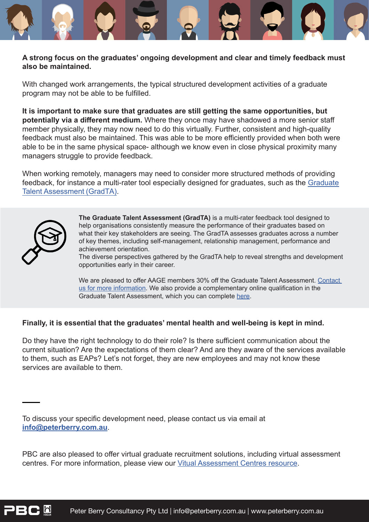# **A strong focus on the graduates' ongoing development and clear and timely feedback must also be maintained.**

With changed work arrangements, the typical structured development activities of a graduate program may not be able to be fulfilled.

**It is important to make sure that graduates are still getting the same opportunities, but potentially via a different medium.** Where they once may have shadowed a more senior staff member physically, they may now need to do this virtually. Further, consistent and high-quality feedback must also be maintained. This was able to be more efficiently provided when both were able to be in the same physical space- although we know even in close physical proximity many managers struggle to provide feedback.

When working remotely, managers may need to consider more structured methods of providing feedback, for instance a multi-rater tool especially designed for graduates, such as the [Graduate](https://www.peterberry.com.au/products/graduate-talent-assessment-gradta/?utm_source=aage&utm_medium=pdf&utm_campaign=aage-email)  [Talent Assessment \(GradTA\).](https://www.peterberry.com.au/products/graduate-talent-assessment-gradta/?utm_source=aage&utm_medium=pdf&utm_campaign=aage-email)



**The Graduate Talent Assessment (GradTA)** is a multi-rater feedback tool designed to help organisations consistently measure the performance of their graduates based on what their key stakeholders are seeing. The GradTA assesses graduates across a number of key themes, including self-management, relationship management, performance and achievement orientation.

The diverse perspectives gathered by the GradTA help to reveal strengths and development opportunities early in their career.

We are pleased to offer AAGE members 30% off the Graduate Talent Assessment. Contact [us for more information](mailto:info@peterberry.com.au?subject=GradTA). We also provide a complementary online qualification in the Graduate Talent Assessment, which you can complete [here.](https://www.peterberry.com.au/qualification/grad-ta/?utm_source=aage&utm_medium=email&utm_campaign=aage)

# **Finally, it is essential that the graduates' mental health and well-being is kept in mind.**

Do they have the right technology to do their role? Is there sufficient communication about the current situation? Are the expectations of them clear? And are they aware of the services available to them, such as EAPs? Let's not forget, they are new employees and may not know these services are available to them.

To discuss your specific development need, please contact us via email at **[info@peterberry.com.au](mailto:info@peterberry.com.au)**.

PBC are also pleased to offer virtual graduate recruitment solutions, including virtual assessment centres. For more information, please view our [Vitual Assessment Centres resource.](https://www.peterberry.com.au/media/2961/pbcs-virtual-assessment-centre-solutions.pdf)